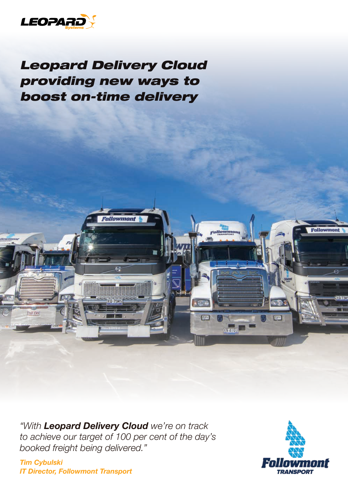

# *Leopard Delivery Cloud providing new ways to boost on-time delivery*

**Followmont** 

*"With Leopard Delivery Cloud we're on track to achieve our target of 100 per cent of the day's booked freight being delivered."*

*Tim Cybulski IT Director, Followmont Transport*

 $-1111$ **768 XWN** 



 $\mathbb{Z}^2$ 

**Trust** 

 $\rightarrow \sqrt{g/\gamma}$ 

 $\boxed{13}$ 

**BRETTOU** 

**Followmont**